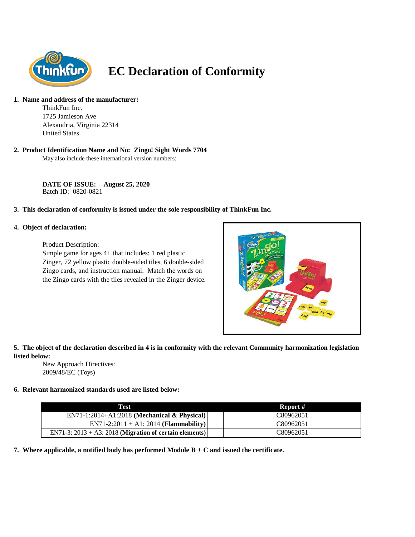

# **EC Declaration of Conformity**

### **1. Name and address of the manufacturer:**

ThinkFun Inc. 1725 Jamieson Ave Alexandria, Virginia 22314 United States

#### **2. Product Identification Name and No: Zingo! Sight Words 7704**

May also include these international version numbers:

**DATE OF ISSUE: August 25, 2020** Batch ID: 0820-0821

#### **3. This declaration of conformity is issued under the sole responsibility of ThinkFun Inc.**

#### **4. Object of declaration:**

Product Description:

Simple game for ages 4+ that includes: 1 red plastic Zinger, 72 yellow plastic double-sided tiles, 6 double-sided Zingo cards, and instruction manual. Match the words on the Zingo cards with the tiles revealed in the Zinger device.



## **5. The object of the declaration described in 4 is in conformity with the relevant Community harmonization legislation listed below:**

New Approach Directives: 2009/48/EC (Toys)

# **6. Relevant harmonized standards used are listed below:**

| Test                                                       | Report #  |
|------------------------------------------------------------|-----------|
| $EN71-1:2014+A1:2018$ (Mechanical & Physical)              | C80962051 |
| $EN71-2:2011 + A1:2014 (Flammablity)$                      | C80962051 |
| EN71-3: $2013 + A3$ : 2018 (Migration of certain elements) | C80962051 |

**7. Where applicable, a notified body has performed Module B + C and issued the certificate.**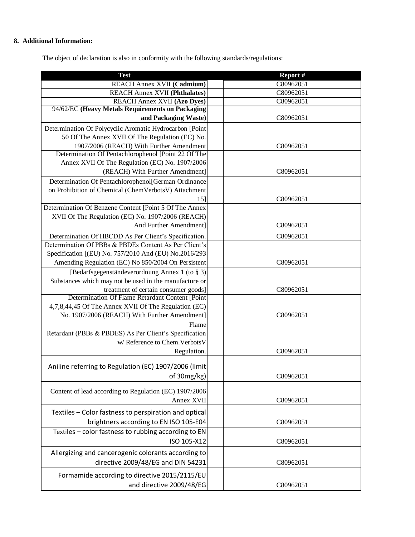# **8. Additional Information:**

The object of declaration is also in conformity with the following standards/regulations:

| <b>Test</b>                                                                                                 | Report #  |
|-------------------------------------------------------------------------------------------------------------|-----------|
| REACH Annex XVII (Cadmium)                                                                                  | C80962051 |
| <b>REACH Annex XVII (Phthalates)</b>                                                                        | C80962051 |
| <b>REACH Annex XVII (Azo Dyes)</b>                                                                          | C80962051 |
| 94/62/EC (Heavy Metals Requirements on Packaging                                                            |           |
| and Packaging Waste)                                                                                        | C80962051 |
| Determination Of Polycyclic Aromatic Hydrocarbon [Point                                                     |           |
| 50 Of The Annex XVII Of The Regulation (EC) No.                                                             |           |
| 1907/2006 (REACH) With Further Amendment                                                                    | C80962051 |
| Determination Of Pentachlorophenol [Point 22 Of The<br>Annex XVII Of The Regulation (EC) No. 1907/2006      |           |
| (REACH) With Further Amendment]                                                                             | C80962051 |
|                                                                                                             |           |
| Determination Of Pentachlorophenol[German Ordinance<br>on Prohibition of Chemical (ChemVerbotsV) Attachment |           |
| 15]                                                                                                         | C80962051 |
| Determination Of Benzene Content [Point 5 Of The Annex                                                      |           |
| XVII Of The Regulation (EC) No. 1907/2006 (REACH)                                                           |           |
| And Further Amendment]                                                                                      | C80962051 |
| Determination Of HBCDD As Per Client's Specification.                                                       | C80962051 |
| Determination Of PBBs & PBDEs Content As Per Client's                                                       |           |
| Specification [(EU) No. 757/2010 And (EU) No.2016/293                                                       |           |
| Amending Regulation (EC) No 850/2004 On Persistent                                                          | C80962051 |
| [Bedarfsgegenständeverordnung Annex 1 (to § 3)]                                                             |           |
| Substances which may not be used in the manufacture or                                                      |           |
| treatment of certain consumer goods]                                                                        | C80962051 |
| Determination Of Flame Retardant Content [Point                                                             |           |
| 4,7,8,44,45 Of The Annex XVII Of The Regulation (EC)                                                        |           |
| No. 1907/2006 (REACH) With Further Amendment]                                                               | C80962051 |
| Flame                                                                                                       |           |
| Retardant (PBBs & PBDES) As Per Client's Specification                                                      |           |
| w/ Reference to Chem. Verbots V                                                                             |           |
| Regulation.                                                                                                 | C80962051 |
| Aniline referring to Regulation (EC) 1907/2006 (limit                                                       |           |
| of 30mg/kg)                                                                                                 | C80962051 |
|                                                                                                             |           |
| Content of lead according to Regulation (EC) 1907/2006                                                      |           |
| Annex XVII                                                                                                  | C80962051 |
| Textiles - Color fastness to perspiration and optical                                                       |           |
| brightners according to EN ISO 105-E04                                                                      | C80962051 |
| Textiles - color fastness to rubbing according to EN                                                        |           |
| ISO 105-X12                                                                                                 | C80962051 |
| Allergizing and cancerogenic colorants according to                                                         |           |
| directive 2009/48/EG and DIN 54231                                                                          |           |
|                                                                                                             | C80962051 |
| Formamide according to directive 2015/2115/EU                                                               |           |
| and directive 2009/48/EG                                                                                    | C80962051 |